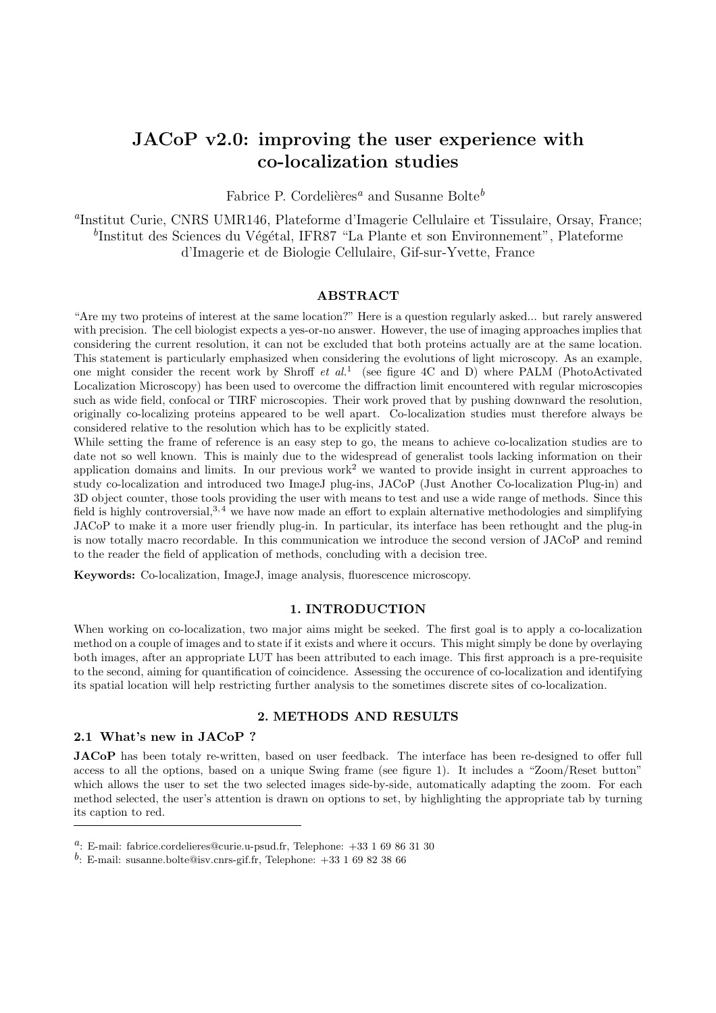# **JACoP v2.0: improving the user experience with co-localization studies**

Fabrice P. Cordelières<sup>a</sup> and Susanne Bolte<sup>b</sup>

<sup>a</sup>Institut Curie, CNRS UMR146, Plateforme d'Imagerie Cellulaire et Tissulaire, Orsay, France;  $<sup>b</sup>$ Institut des Sciences du Végétal, IFR87 "La Plante et son Environnement", Plateforme</sup> d'Imagerie et de Biologie Cellulaire, Gif-sur-Yvette, France

# **ABSTRACT**

"Are my two proteins of interest at the same location?" Here is a question regularly asked... but rarely answered with precision. The cell biologist expects a yes-or-no answer. However, the use of imaging approaches implies that considering the current resolution, it can not be excluded that both proteins actually are at the same location. This statement is particularly emphasized when considering the evolutions of light microscopy. As an example, one might consider the recent work by Shroff et  $al$ <sup>1</sup> (see figure 4C and D) where PALM (PhotoActivated Localization Microscopy) has been used to overcome the diffraction limit encountered with regular microscopies such as wide field, confocal or TIRF microscopies. Their work proved that by pushing downward the resolution, originally co-localizing proteins appeared to be well apart. Co-localization studies must therefore always be considered relative to the resolution which has to be explicitly stated.

While setting the frame of reference is an easy step to go, the means to achieve co-localization studies are to date not so well known. This is mainly due to the widespread of generalist tools lacking information on their application domains and limits. In our previous work<sup>2</sup> we wanted to provide insight in current approaches to study co-localization and introduced two ImageJ plug-ins, JACoP (Just Another Co-localization Plug-in) and 3D object counter, those tools providing the user with means to test and use a wide range of methods. Since this field is highly controversial,  $3, 4$  we have now made an effort to explain alternative methodologies and simplifying JACoP to make it a more user friendly plug-in. In particular, its interface has been rethought and the plug-in is now totally macro recordable. In this communication we introduce the second version of JACoP and remind to the reader the field of application of methods, concluding with a decision tree.

**Keywords:** Co-localization, ImageJ, image analysis, fluorescence microscopy.

#### **1. INTRODUCTION**

When working on co-localization, two major aims might be seeked. The first goal is to apply a co-localization method on a couple of images and to state if it exists and where it occurs. This might simply be done by overlaying both images, after an appropriate LUT has been attributed to each image. This first approach is a pre-requisite to the second, aiming for quantification of coincidence. Assessing the occurence of co-localization and identifying its spatial location will help restricting further analysis to the sometimes discrete sites of co-localization.

# **2. METHODS AND RESULTS**

# **2.1 What's new in JACoP ?**

**JACoP** has been totaly re-written, based on user feedback. The interface has been re-designed to offer full access to all the options, based on a unique Swing frame (see figure 1). It includes a "Zoom/Reset button" which allows the user to set the two selected images side-by-side, automatically adapting the zoom. For each method selected, the user's attention is drawn on options to set, by highlighting the appropriate tab by turning its caption to red.

<sup>&</sup>lt;sup>a</sup>: E-mail: fabrice.cordelieres@curie.u-psud.fr, Telephone:  $+33$  1 69 86 31 30

 $b$ : E-mail: susanne.bolte@isv.cnrs-gif.fr, Telephone: +33 1 69 82 38 66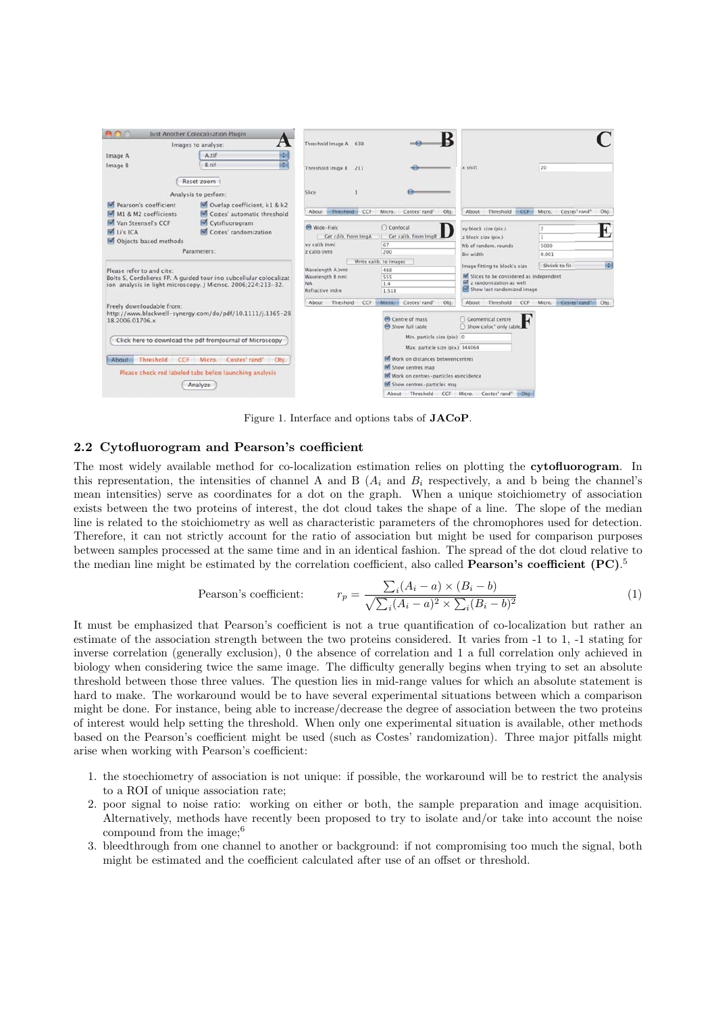

Figure 1. Interface and options tabs of **JACoP**.

### **2.2 Cytofluorogram and Pearson's coefficient**

The most widely available method for co-localization estimation relies on plotting the **cytofluorogram**. In this representation, the intensities of channel A and B  $(A_i$  and  $B_i$  respectively, a and b being the channel's mean intensities) serve as coordinates for a dot on the graph. When a unique stoichiometry of association exists between the two proteins of interest, the dot cloud takes the shape of a line. The slope of the median line is related to the stoichiometry as well as characteristic parameters of the chromophores used for detection. Therefore, it can not strictly account for the ratio of association but might be used for comparison purposes between samples processed at the same time and in an identical fashion. The spread of the dot cloud relative to the median line might be estimated by the correlation coefficient, also called **Pearson's coefficient (PC)**. 5

Pearson's coefficient: 
$$
r_p = \frac{\sum_i (A_i - a) \times (B_i - b)}{\sqrt{\sum_i (A_i - a)^2 \times \sum_i (B_i - b)^2}}
$$
(1)

It must be emphasized that Pearson's coefficient is not a true quantification of co-localization but rather an estimate of the association strength between the two proteins considered. It varies from -1 to 1, -1 stating for inverse correlation (generally exclusion), 0 the absence of correlation and 1 a full correlation only achieved in biology when considering twice the same image. The difficulty generally begins when trying to set an absolute threshold between those three values. The question lies in mid-range values for which an absolute statement is hard to make. The workaround would be to have several experimental situations between which a comparison might be done. For instance, being able to increase/decrease the degree of association between the two proteins of interest would help setting the threshold. When only one experimental situation is available, other methods based on the Pearson's coefficient might be used (such as Costes' randomization). Three major pitfalls might arise when working with Pearson's coefficient:

- 1. the stoechiometry of association is not unique: if possible, the workaround will be to restrict the analysis to a ROI of unique association rate;
- 2. poor signal to noise ratio: working on either or both, the sample preparation and image acquisition. Alternatively, methods have recently been proposed to try to isolate and/or take into account the noise compound from the image;<sup>6</sup>
- 3. bleedthrough from one channel to another or background: if not compromising too much the signal, both might be estimated and the coefficient calculated after use of an offset or threshold.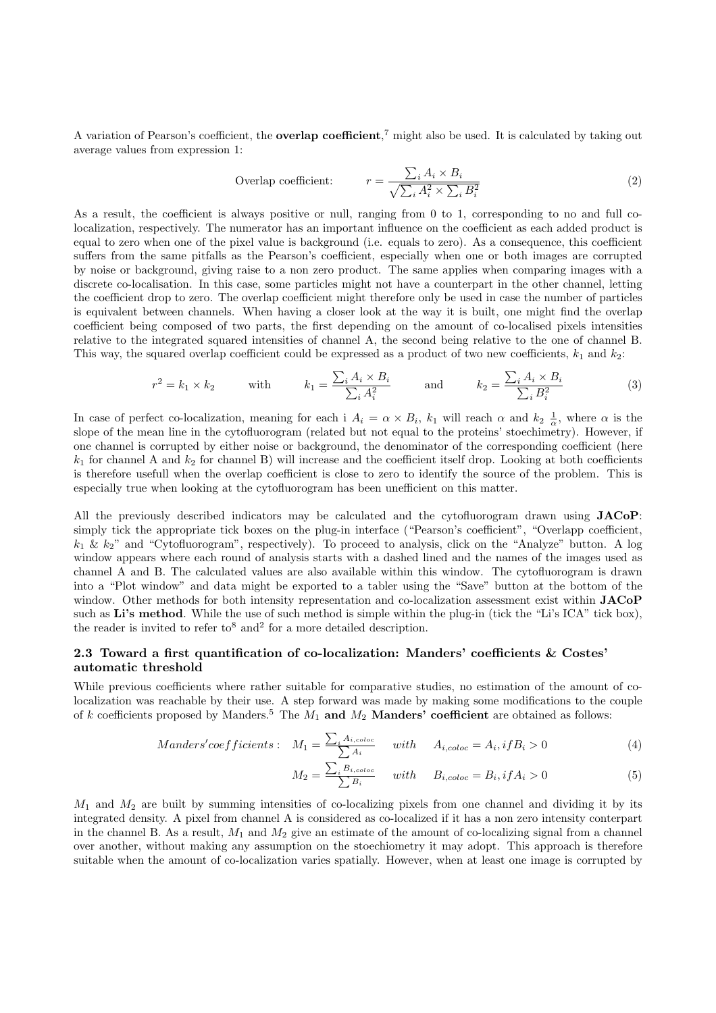A variation of Pearson's coefficient, the **overlap coefficient**, <sup>7</sup> might also be used. It is calculated by taking out average values from expression 1:

Overlap coefficient: 
$$
r = \frac{\sum_{i} A_{i} \times B_{i}}{\sqrt{\sum_{i} A_{i}^{2} \times \sum_{i} B_{i}^{2}}}
$$
 (2)

As a result, the coefficient is always positive or null, ranging from 0 to 1, corresponding to no and full colocalization, respectively. The numerator has an important influence on the coefficient as each added product is equal to zero when one of the pixel value is background (i.e. equals to zero). As a consequence, this coefficient suffers from the same pitfalls as the Pearson's coefficient, especially when one or both images are corrupted by noise or background, giving raise to a non zero product. The same applies when comparing images with a discrete co-localisation. In this case, some particles might not have a counterpart in the other channel, letting the coefficient drop to zero. The overlap coefficient might therefore only be used in case the number of particles is equivalent between channels. When having a closer look at the way it is built, one might find the overlap coefficient being composed of two parts, the first depending on the amount of co-localised pixels intensities relative to the integrated squared intensities of channel A, the second being relative to the one of channel B. This way, the squared overlap coefficient could be expressed as a product of two new coefficients,  $k_1$  and  $k_2$ :

$$
r^{2} = k_{1} \times k_{2} \qquad \text{with} \qquad k_{1} = \frac{\sum_{i} A_{i} \times B_{i}}{\sum_{i} A_{i}^{2}} \qquad \text{and} \qquad k_{2} = \frac{\sum_{i} A_{i} \times B_{i}}{\sum_{i} B_{i}^{2}} \qquad (3)
$$

In case of perfect co-localization, meaning for each i  $A_i = \alpha \times B_i$ ,  $k_1$  will reach  $\alpha$  and  $k_2 \frac{1}{\alpha}$ , where  $\alpha$  is the slope of the mean line in the cytofluorogram (related but not equal to the proteins' stoechimetry). However, if one channel is corrupted by either noise or background, the denominator of the corresponding coefficient (here  $k_1$  for channel A and  $k_2$  for channel B) will increase and the coefficient itself drop. Looking at both coefficients is therefore usefull when the overlap coefficient is close to zero to identify the source of the problem. This is especially true when looking at the cytofluorogram has been unefficient on this matter.

All the previously described indicators may be calculated and the cytofluorogram drawn using **JACoP**: simply tick the appropriate tick boxes on the plug-in interface ("Pearson's coefficient", "Overlapp coefficient,  $k_1 \& k_2$ " and "Cytofluorogram", respectively). To proceed to analysis, click on the "Analyze" button. A log window appears where each round of analysis starts with a dashed lined and the names of the images used as channel A and B. The calculated values are also available within this window. The cytofluorogram is drawn into a "Plot window" and data might be exported to a tabler using the "Save" button at the bottom of the window. Other methods for both intensity representation and co-localization assessment exist within **JACoP** such as **Li's method**. While the use of such method is simple within the plug-in (tick the "Li's ICA" tick box), the reader is invited to refer to  $\delta$  and  $\delta$  for a more detailed description.

#### **2.3 Toward a first quantification of co-localization: Manders' coefficients & Costes' automatic threshold**

While previous coefficients where rather suitable for comparative studies, no estimation of the amount of colocalization was reachable by their use. A step forward was made by making some modifications to the couple of k coefficients proposed by Manders.<sup>5</sup> The  $M_1$  **and**  $M_2$  **Manders' coefficient** are obtained as follows:

$$
Manders' coefficients: M_1 = \frac{\sum_{i} A_{i, color}}{\sum_{i} A_i} \quad with \quad A_{i, color} = A_i, if B_i > 0 \tag{4}
$$

$$
M_2 = \frac{\sum_i B_{i, color}}{\sum_i B_i} \quad with \quad B_{i, color} = B_i, if A_i > 0 \tag{5}
$$

 $M_1$  and  $M_2$  are built by summing intensities of co-localizing pixels from one channel and dividing it by its integrated density. A pixel from channel A is considered as co-localized if it has a non zero intensity conterpart in the channel B. As a result,  $M_1$  and  $M_2$  give an estimate of the amount of co-localizing signal from a channel over another, without making any assumption on the stoechiometry it may adopt. This approach is therefore suitable when the amount of co-localization varies spatially. However, when at least one image is corrupted by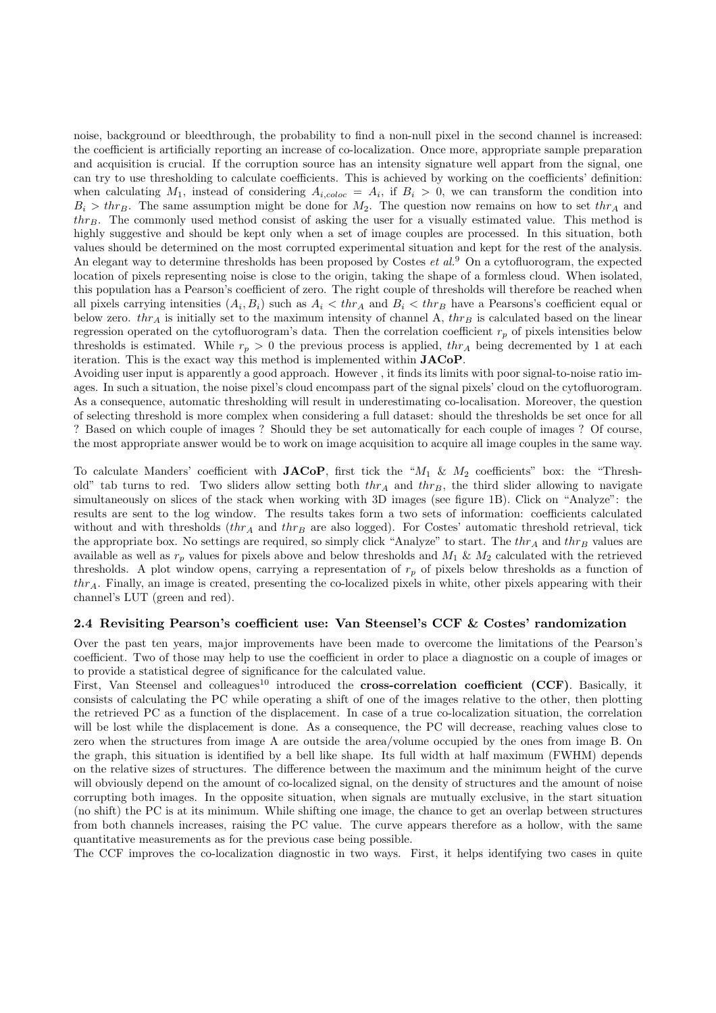noise, background or bleedthrough, the probability to find a non-null pixel in the second channel is increased: the coefficient is artificially reporting an increase of co-localization. Once more, appropriate sample preparation and acquisition is crucial. If the corruption source has an intensity signature well appart from the signal, one can try to use thresholding to calculate coefficients. This is achieved by working on the coefficients' definition: when calculating  $M_1$ , instead of considering  $A_{i,color} = A_i$ , if  $B_i > 0$ , we can transform the condition into  $B_i > thr_B$ . The same assumption might be done for  $M_2$ . The question now remains on how to set thr<sub>A</sub> and  $thr_B$ . The commonly used method consist of asking the user for a visually estimated value. This method is highly suggestive and should be kept only when a set of image couples are processed. In this situation, both values should be determined on the most corrupted experimental situation and kept for the rest of the analysis. An elegant way to determine thresholds has been proposed by Costes  $et al.^9$  On a cytofluorogram, the expected location of pixels representing noise is close to the origin, taking the shape of a formless cloud. When isolated, this population has a Pearson's coefficient of zero. The right couple of thresholds will therefore be reached when all pixels carrying intensities  $(A_i, B_i)$  such as  $A_i < thr_A$  and  $B_i < thr_B$  have a Pearsons's coefficient equal or below zero.  $thr_A$  is initially set to the maximum intensity of channel A,  $thr_B$  is calculated based on the linear regression operated on the cytofluorogram's data. Then the correlation coefficient  $r_p$  of pixels intensities below thresholds is estimated. While  $r_p > 0$  the previous process is applied,  $thr_A$  being decremented by 1 at each iteration. This is the exact way this method is implemented within **JACoP**.

Avoiding user input is apparently a good approach. However , it finds its limits with poor signal-to-noise ratio images. In such a situation, the noise pixel's cloud encompass part of the signal pixels' cloud on the cytofluorogram. As a consequence, automatic thresholding will result in underestimating co-localisation. Moreover, the question of selecting threshold is more complex when considering a full dataset: should the thresholds be set once for all ? Based on which couple of images ? Should they be set automatically for each couple of images ? Of course, the most appropriate answer would be to work on image acquisition to acquire all image couples in the same way.

To calculate Manders' coefficient with **JACoP**, first tick the "M<sup>1</sup> & M<sup>2</sup> coefficients" box: the "Threshold" tab turns to red. Two sliders allow setting both  $thr_A$  and  $thr_B$ , the third slider allowing to navigate simultaneously on slices of the stack when working with 3D images (see figure 1B). Click on "Analyze": the results are sent to the log window. The results takes form a two sets of information: coefficients calculated without and with thresholds  $(thr_A$  and  $thr_B$  are also logged). For Costes' automatic threshold retrieval, tick the appropriate box. No settings are required, so simply click "Analyze" to start. The  $thr_A$  and  $thr_B$  values are available as well as  $r_p$  values for pixels above and below thresholds and  $M_1 \& M_2$  calculated with the retrieved thresholds. A plot window opens, carrying a representation of  $r_p$  of pixels below thresholds as a function of  $thr_A$ . Finally, an image is created, presenting the co-localized pixels in white, other pixels appearing with their channel's LUT (green and red).

#### **2.4 Revisiting Pearson's coefficient use: Van Steensel's CCF & Costes' randomization**

Over the past ten years, major improvements have been made to overcome the limitations of the Pearson's coefficient. Two of those may help to use the coefficient in order to place a diagnostic on a couple of images or to provide a statistical degree of significance for the calculated value.

First, Van Steensel and colleagues<sup>10</sup> introduced the **cross-correlation coefficient (CCF)**. Basically, it consists of calculating the PC while operating a shift of one of the images relative to the other, then plotting the retrieved PC as a function of the displacement. In case of a true co-localization situation, the correlation will be lost while the displacement is done. As a consequence, the PC will decrease, reaching values close to zero when the structures from image A are outside the area/volume occupied by the ones from image B. On the graph, this situation is identified by a bell like shape. Its full width at half maximum (FWHM) depends on the relative sizes of structures. The difference between the maximum and the minimum height of the curve will obviously depend on the amount of co-localized signal, on the density of structures and the amount of noise corrupting both images. In the opposite situation, when signals are mutually exclusive, in the start situation (no shift) the PC is at its minimum. While shifting one image, the chance to get an overlap between structures from both channels increases, raising the PC value. The curve appears therefore as a hollow, with the same quantitative measurements as for the previous case being possible.

The CCF improves the co-localization diagnostic in two ways. First, it helps identifying two cases in quite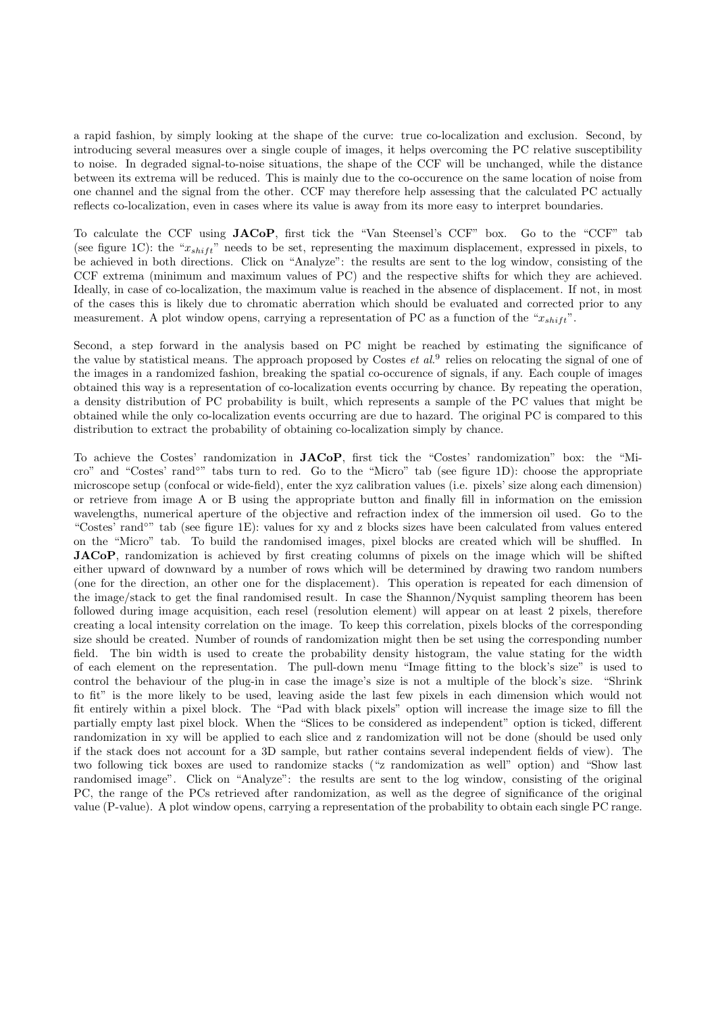a rapid fashion, by simply looking at the shape of the curve: true co-localization and exclusion. Second, by introducing several measures over a single couple of images, it helps overcoming the PC relative susceptibility to noise. In degraded signal-to-noise situations, the shape of the CCF will be unchanged, while the distance between its extrema will be reduced. This is mainly due to the co-occurence on the same location of noise from one channel and the signal from the other. CCF may therefore help assessing that the calculated PC actually reflects co-localization, even in cases where its value is away from its more easy to interpret boundaries.

To calculate the CCF using **JACoP**, first tick the "Van Steensel's CCF" box. Go to the "CCF" tab (see figure 1C): the " $x_{shift}$ " needs to be set, representing the maximum displacement, expressed in pixels, to be achieved in both directions. Click on "Analyze": the results are sent to the log window, consisting of the CCF extrema (minimum and maximum values of PC) and the respective shifts for which they are achieved. Ideally, in case of co-localization, the maximum value is reached in the absence of displacement. If not, in most of the cases this is likely due to chromatic aberration which should be evaluated and corrected prior to any measurement. A plot window opens, carrying a representation of PC as a function of the " $x_{shift}$ ".

Second, a step forward in the analysis based on PC might be reached by estimating the significance of the value by statistical means. The approach proposed by Costes  $et al.^9$  relies on relocating the signal of one of the images in a randomized fashion, breaking the spatial co-occurence of signals, if any. Each couple of images obtained this way is a representation of co-localization events occurring by chance. By repeating the operation, a density distribution of PC probability is built, which represents a sample of the PC values that might be obtained while the only co-localization events occurring are due to hazard. The original PC is compared to this distribution to extract the probability of obtaining co-localization simply by chance.

To achieve the Costes' randomization in **JACoP**, first tick the "Costes' randomization" box: the "Micro" and "Costes' rand<sup>°"</sup> tabs turn to red. Go to the "Micro" tab (see figure 1D): choose the appropriate microscope setup (confocal or wide-field), enter the xyz calibration values (i.e. pixels' size along each dimension) or retrieve from image A or B using the appropriate button and finally fill in information on the emission wavelengths, numerical aperture of the objective and refraction index of the immersion oil used. Go to the "Costes' rand◦" tab (see figure 1E): values for xy and z blocks sizes have been calculated from values entered on the "Micro" tab. To build the randomised images, pixel blocks are created which will be shuffled. In **JACoP**, randomization is achieved by first creating columns of pixels on the image which will be shifted either upward of downward by a number of rows which will be determined by drawing two random numbers (one for the direction, an other one for the displacement). This operation is repeated for each dimension of the image/stack to get the final randomised result. In case the Shannon/Nyquist sampling theorem has been followed during image acquisition, each resel (resolution element) will appear on at least 2 pixels, therefore creating a local intensity correlation on the image. To keep this correlation, pixels blocks of the corresponding size should be created. Number of rounds of randomization might then be set using the corresponding number field. The bin width is used to create the probability density histogram, the value stating for the width of each element on the representation. The pull-down menu "Image fitting to the block's size" is used to control the behaviour of the plug-in in case the image's size is not a multiple of the block's size. "Shrink to fit" is the more likely to be used, leaving aside the last few pixels in each dimension which would not fit entirely within a pixel block. The "Pad with black pixels" option will increase the image size to fill the partially empty last pixel block. When the "Slices to be considered as independent" option is ticked, different randomization in xy will be applied to each slice and z randomization will not be done (should be used only if the stack does not account for a 3D sample, but rather contains several independent fields of view). The two following tick boxes are used to randomize stacks ("z randomization as well" option) and "Show last randomised image". Click on "Analyze": the results are sent to the log window, consisting of the original PC, the range of the PCs retrieved after randomization, as well as the degree of significance of the original value (P-value). A plot window opens, carrying a representation of the probability to obtain each single PC range.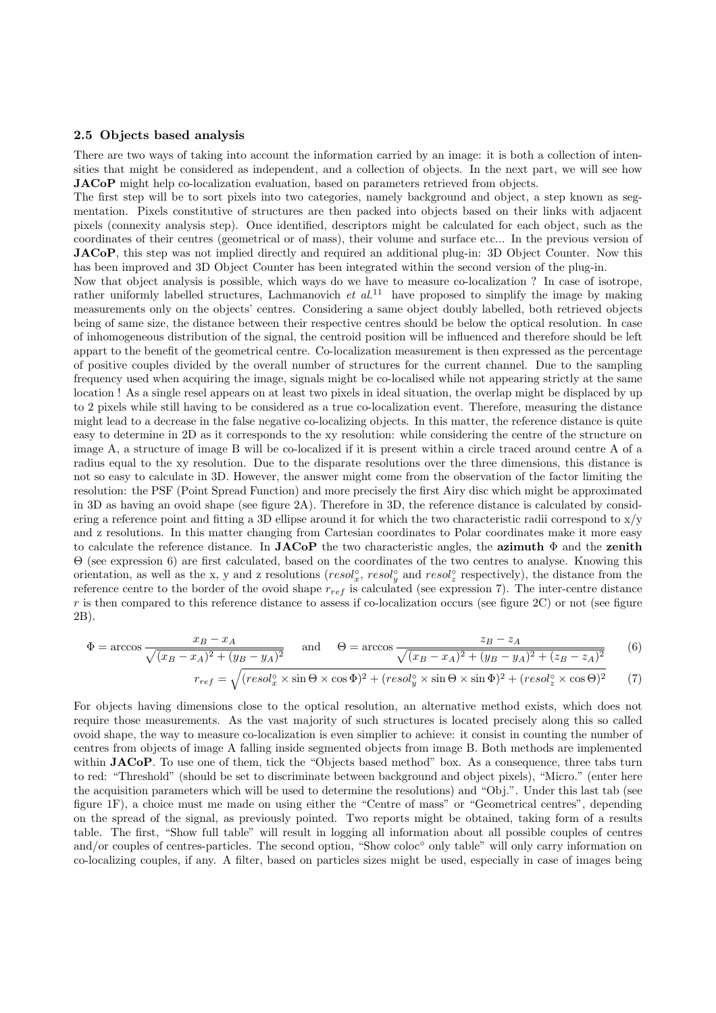#### **2.5 Objects based analysis**

There are two ways of taking into account the information carried by an image: it is both a collection of intensities that might be considered as independent, and a collection of objects. In the next part, we will see how **JACoP** might help co-localization evaluation, based on parameters retrieved from objects.

The first step will be to sort pixels into two categories, namely background and object, a step known as segmentation. Pixels constitutive of structures are then packed into objects based on their links with adjacent pixels (connexity analysis step). Once identified, descriptors might be calculated for each object, such as the coordinates of their centres (geometrical or of mass), their volume and surface etc... In the previous version of **JACoP**, this step was not implied directly and required an additional plug-in: 3D Object Counter. Now this has been improved and 3D Object Counter has been integrated within the second version of the plug-in.

Now that object analysis is possible, which ways do we have to measure co-localization ? In case of isotrope, rather uniformly labelled structures, Lachmanovich et  $al$ <sup>11</sup> have proposed to simplify the image by making measurements only on the objects' centres. Considering a same object doubly labelled, both retrieved objects being of same size, the distance between their respective centres should be below the optical resolution. In case of inhomogeneous distribution of the signal, the centroid position will be influenced and therefore should be left appart to the benefit of the geometrical centre. Co-localization measurement is then expressed as the percentage of positive couples divided by the overall number of structures for the current channel. Due to the sampling frequency used when acquiring the image, signals might be co-localised while not appearing strictly at the same location ! As a single resel appears on at least two pixels in ideal situation, the overlap might be displaced by up to 2 pixels while still having to be considered as a true co-localization event. Therefore, measuring the distance might lead to a decrease in the false negative co-localizing objects. In this matter, the reference distance is quite easy to determine in 2D as it corresponds to the xy resolution: while considering the centre of the structure on image A, a structure of image B will be co-localized if it is present within a circle traced around centre A of a radius equal to the xy resolution. Due to the disparate resolutions over the three dimensions, this distance is not so easy to calculate in 3D. However, the answer might come from the observation of the factor limiting the resolution: the PSF (Point Spread Function) and more precisely the first Airy disc which might be approximated in 3D as having an ovoid shape (see figure 2A). Therefore in 3D, the reference distance is calculated by considering a reference point and fitting a 3D ellipse around it for which the two characteristic radii correspond to  $x/y$ and z resolutions. In this matter changing from Cartesian coordinates to Polar coordinates make it more easy to calculate the reference distance. In **JACoP** the two characteristic angles, the **azimuth** Φ and the **zenith** Θ (see expression 6) are first calculated, based on the coordinates of the two centres to analyse. Knowing this orientation, as well as the x, y and z resolutions  $(resol_x^{\circ}, resol_y^{\circ}$  and  $resol_z^{\circ}$  respectively), the distance from the reference centre to the border of the ovoid shape  $r_{ref}$  is calculated (see expression 7). The inter-centre distance r is then compared to this reference distance to assess if co-localization occurs (see figure  $2C$ ) or not (see figure 2B).

$$
\Phi = \arccos \frac{x_B - x_A}{\sqrt{(x_B - x_A)^2 + (y_B - y_A)^2}} \quad \text{and} \quad \Theta = \arccos \frac{z_B - z_A}{\sqrt{(x_B - x_A)^2 + (y_B - y_A)^2 + (z_B - z_A)^2}} \tag{6}
$$

$$
r_{ref} = \sqrt{(resol_x^{\circ} \times \sin \Theta \times \cos \Phi)^2 + (resol_y^{\circ} \times \sin \Theta \times \sin \Phi)^2 + (resol_z^{\circ} \times \cos \Theta)^2}
$$
 (7)

For objects having dimensions close to the optical resolution, an alternative method exists, which does not require those measurements. As the vast majority of such structures is located precisely along this so called ovoid shape, the way to measure co-localization is even simplier to achieve: it consist in counting the number of centres from objects of image A falling inside segmented objects from image B. Both methods are implemented within **JACoP**. To use one of them, tick the "Objects based method" box. As a consequence, three tabs turn to red: "Threshold" (should be set to discriminate between background and object pixels), "Micro." (enter here the acquisition parameters which will be used to determine the resolutions) and "Obj.". Under this last tab (see figure 1F), a choice must me made on using either the "Centre of mass" or "Geometrical centres", depending on the spread of the signal, as previously pointed. Two reports might be obtained, taking form of a results table. The first, "Show full table" will result in logging all information about all possible couples of centres and/or couples of centres-particles. The second option, "Show coloc◦ only table" will only carry information on co-localizing couples, if any. A filter, based on particles sizes might be used, especially in case of images being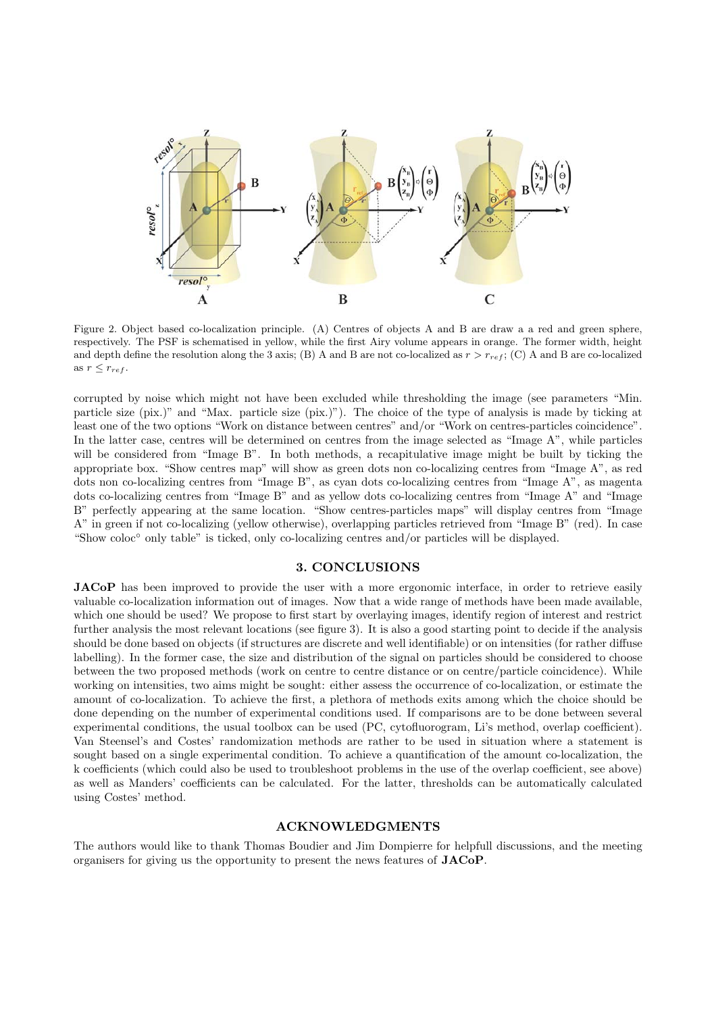

Figure 2. Object based co-localization principle. (A) Centres of objects A and B are draw a a red and green sphere, respectively. The PSF is schematised in yellow, while the first Airy volume appears in orange. The former width, height and depth define the resolution along the 3 axis; (B) A and B are not co-localized as  $r > r_{ref}$ ; (C) A and B are co-localized as  $r \leq r_{ref}$ .

corrupted by noise which might not have been excluded while thresholding the image (see parameters "Min. particle size (pix.)" and "Max. particle size (pix.)"). The choice of the type of analysis is made by ticking at least one of the two options "Work on distance between centres" and/or "Work on centres-particles coincidence". In the latter case, centres will be determined on centres from the image selected as "Image A", while particles will be considered from "Image B". In both methods, a recapitulative image might be built by ticking the appropriate box. "Show centres map" will show as green dots non co-localizing centres from "Image A", as red dots non co-localizing centres from "Image B", as cyan dots co-localizing centres from "Image A", as magenta dots co-localizing centres from "Image B" and as yellow dots co-localizing centres from "Image A" and "Image B" perfectly appearing at the same location. "Show centres-particles maps" will display centres from "Image A" in green if not co-localizing (yellow otherwise), overlapping particles retrieved from "Image B" (red). In case "Show coloc◦ only table" is ticked, only co-localizing centres and/or particles will be displayed.

#### **3. CONCLUSIONS**

**JACoP** has been improved to provide the user with a more ergonomic interface, in order to retrieve easily valuable co-localization information out of images. Now that a wide range of methods have been made available, which one should be used? We propose to first start by overlaying images, identify region of interest and restrict further analysis the most relevant locations (see figure 3). It is also a good starting point to decide if the analysis should be done based on objects (if structures are discrete and well identifiable) or on intensities (for rather diffuse labelling). In the former case, the size and distribution of the signal on particles should be considered to choose between the two proposed methods (work on centre to centre distance or on centre/particle coincidence). While working on intensities, two aims might be sought: either assess the occurrence of co-localization, or estimate the amount of co-localization. To achieve the first, a plethora of methods exits among which the choice should be done depending on the number of experimental conditions used. If comparisons are to be done between several experimental conditions, the usual toolbox can be used (PC, cytofluorogram, Li's method, overlap coefficient). Van Steensel's and Costes' randomization methods are rather to be used in situation where a statement is sought based on a single experimental condition. To achieve a quantification of the amount co-localization, the k coefficients (which could also be used to troubleshoot problems in the use of the overlap coefficient, see above) as well as Manders' coefficients can be calculated. For the latter, thresholds can be automatically calculated using Costes' method.

#### **ACKNOWLEDGMENTS**

The authors would like to thank Thomas Boudier and Jim Dompierre for helpfull discussions, and the meeting organisers for giving us the opportunity to present the news features of **JACoP**.